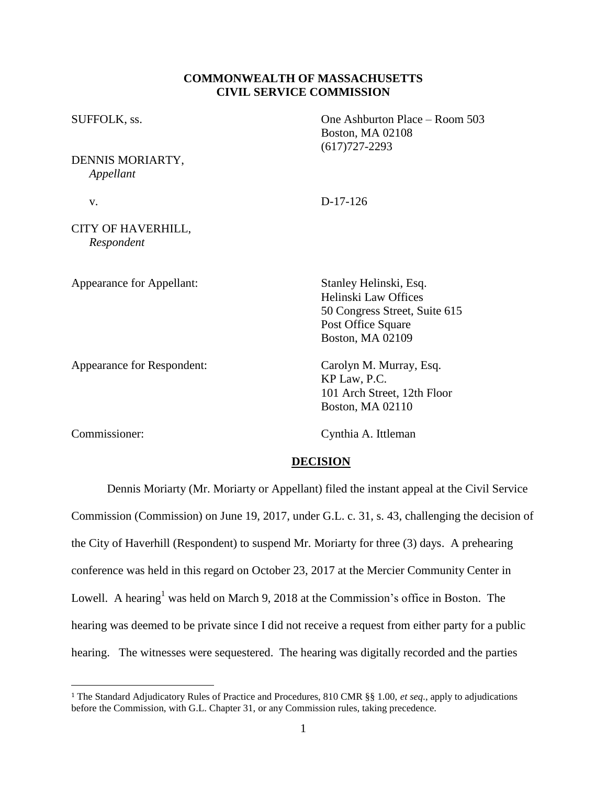# **COMMONWEALTH OF MASSACHUSETTS CIVIL SERVICE COMMISSION**

| SUFFOLK, ss.                     | One Ashburton Place - Room 503<br><b>Boston, MA 02108</b><br>$(617)727 - 2293$                                                          |
|----------------------------------|-----------------------------------------------------------------------------------------------------------------------------------------|
| DENNIS MORIARTY,<br>Appellant    |                                                                                                                                         |
| V.                               | $D-17-126$                                                                                                                              |
| CITY OF HAVERHILL,<br>Respondent |                                                                                                                                         |
| Appearance for Appellant:        | Stanley Helinski, Esq.<br><b>Helinski Law Offices</b><br>50 Congress Street, Suite 615<br>Post Office Square<br><b>Boston, MA 02109</b> |
| Appearance for Respondent:       | Carolyn M. Murray, Esq.<br>KP Law, P.C.<br>101 Arch Street, 12th Floor                                                                  |

 $\overline{a}$ 

Commissioner: Cynthia A. Ittleman

Boston, MA 02110

# **DECISION**

Dennis Moriarty (Mr. Moriarty or Appellant) filed the instant appeal at the Civil Service Commission (Commission) on June 19, 2017, under G.L. c. 31, s. 43, challenging the decision of the City of Haverhill (Respondent) to suspend Mr. Moriarty for three (3) days. A prehearing conference was held in this regard on October 23, 2017 at the Mercier Community Center in Lowell. A hearing<sup>1</sup> was held on March 9, 2018 at the Commission's office in Boston. The hearing was deemed to be private since I did not receive a request from either party for a public hearing. The witnesses were sequestered. The hearing was digitally recorded and the parties

<sup>1</sup> The Standard Adjudicatory Rules of Practice and Procedures, 810 CMR §§ 1.00, *et seq.*, apply to adjudications before the Commission, with G.L. Chapter 31, or any Commission rules, taking precedence.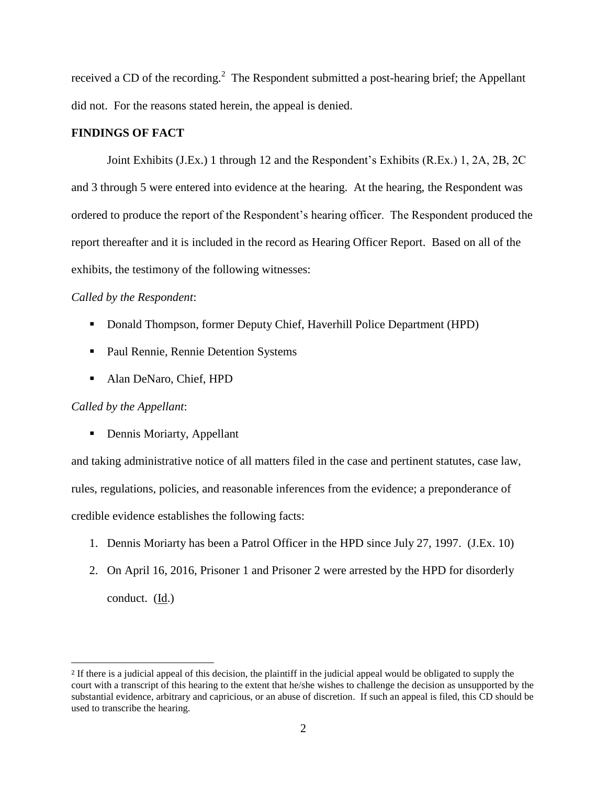received a CD of the recording.<sup>2</sup> The Respondent submitted a post-hearing brief; the Appellant did not. For the reasons stated herein, the appeal is denied.

# **FINDINGS OF FACT**

Joint Exhibits (J.Ex.) 1 through 12 and the Respondent's Exhibits (R.Ex.) 1, 2A, 2B, 2C and 3 through 5 were entered into evidence at the hearing. At the hearing, the Respondent was ordered to produce the report of the Respondent's hearing officer. The Respondent produced the report thereafter and it is included in the record as Hearing Officer Report. Based on all of the exhibits, the testimony of the following witnesses:

### *Called by the Respondent*:

- Donald Thompson, former Deputy Chief, Haverhill Police Department (HPD)
- **Paul Rennie, Rennie Detention Systems**
- Alan DeNaro, Chief, HPD

### *Called by the Appellant*:

 $\overline{a}$ 

• Dennis Moriarty, Appellant

and taking administrative notice of all matters filed in the case and pertinent statutes, case law, rules, regulations, policies, and reasonable inferences from the evidence; a preponderance of credible evidence establishes the following facts:

- 1. Dennis Moriarty has been a Patrol Officer in the HPD since July 27, 1997. (J.Ex. 10)
- 2. On April 16, 2016, Prisoner 1 and Prisoner 2 were arrested by the HPD for disorderly conduct. (Id.)

<sup>&</sup>lt;sup>2</sup> If there is a judicial appeal of this decision, the plaintiff in the judicial appeal would be obligated to supply the court with a transcript of this hearing to the extent that he/she wishes to challenge the decision as unsupported by the substantial evidence, arbitrary and capricious, or an abuse of discretion. If such an appeal is filed, this CD should be used to transcribe the hearing.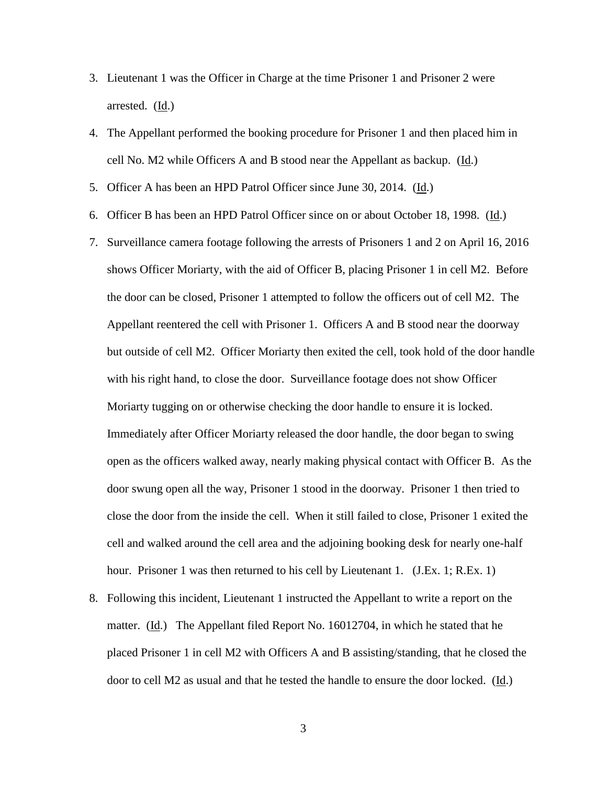- 3. Lieutenant 1 was the Officer in Charge at the time Prisoner 1 and Prisoner 2 were arrested. (Id.)
- 4. The Appellant performed the booking procedure for Prisoner 1 and then placed him in cell No. M2 while Officers A and B stood near the Appellant as backup. (Id.)
- 5. Officer A has been an HPD Patrol Officer since June 30, 2014. (Id.)
- 6. Officer B has been an HPD Patrol Officer since on or about October 18, 1998. (Id.)
- 7. Surveillance camera footage following the arrests of Prisoners 1 and 2 on April 16, 2016 shows Officer Moriarty, with the aid of Officer B, placing Prisoner 1 in cell M2. Before the door can be closed, Prisoner 1 attempted to follow the officers out of cell M2. The Appellant reentered the cell with Prisoner 1. Officers A and B stood near the doorway but outside of cell M2. Officer Moriarty then exited the cell, took hold of the door handle with his right hand, to close the door. Surveillance footage does not show Officer Moriarty tugging on or otherwise checking the door handle to ensure it is locked. Immediately after Officer Moriarty released the door handle, the door began to swing open as the officers walked away, nearly making physical contact with Officer B. As the door swung open all the way, Prisoner 1 stood in the doorway. Prisoner 1 then tried to close the door from the inside the cell. When it still failed to close, Prisoner 1 exited the cell and walked around the cell area and the adjoining booking desk for nearly one-half hour. Prisoner 1 was then returned to his cell by Lieutenant 1. (J.Ex. 1; R.Ex. 1)
- 8. Following this incident, Lieutenant 1 instructed the Appellant to write a report on the matter.  $(\underline{Id})$  The Appellant filed Report No. 16012704, in which he stated that he placed Prisoner 1 in cell M2 with Officers A and B assisting/standing, that he closed the door to cell M2 as usual and that he tested the handle to ensure the door locked. (Id.)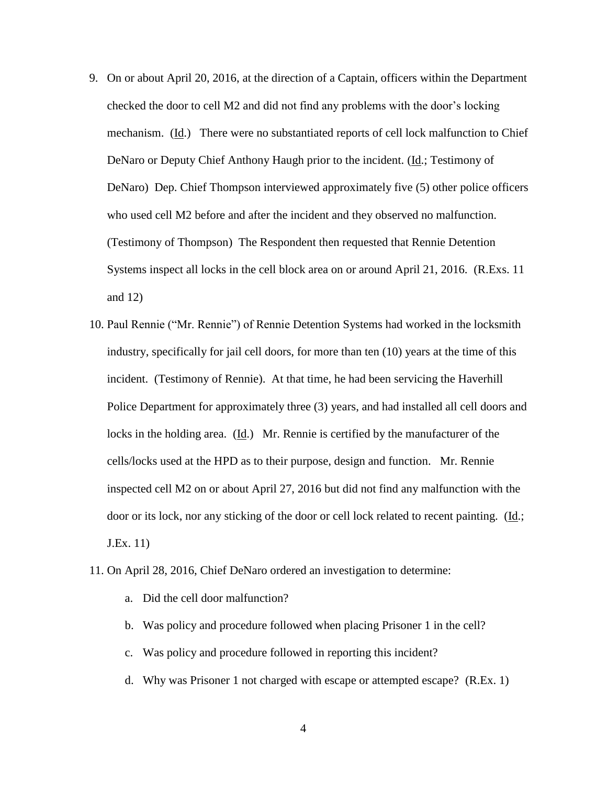- 9. On or about April 20, 2016, at the direction of a Captain, officers within the Department checked the door to cell M2 and did not find any problems with the door's locking mechanism. (Id.) There were no substantiated reports of cell lock malfunction to Chief DeNaro or Deputy Chief Anthony Haugh prior to the incident. (Id.; Testimony of DeNaro) Dep. Chief Thompson interviewed approximately five (5) other police officers who used cell M2 before and after the incident and they observed no malfunction. (Testimony of Thompson) The Respondent then requested that Rennie Detention Systems inspect all locks in the cell block area on or around April 21, 2016. (R.Exs. 11 and 12)
- 10. Paul Rennie ("Mr. Rennie") of Rennie Detention Systems had worked in the locksmith industry, specifically for jail cell doors, for more than ten (10) years at the time of this incident. (Testimony of Rennie). At that time, he had been servicing the Haverhill Police Department for approximately three (3) years, and had installed all cell doors and locks in the holding area. (Id.) Mr. Rennie is certified by the manufacturer of the cells/locks used at the HPD as to their purpose, design and function. Mr. Rennie inspected cell M2 on or about April 27, 2016 but did not find any malfunction with the door or its lock, nor any sticking of the door or cell lock related to recent painting. (Id.; J.Ex. 11)
- 11. On April 28, 2016, Chief DeNaro ordered an investigation to determine:
	- a. Did the cell door malfunction?
	- b. Was policy and procedure followed when placing Prisoner 1 in the cell?
	- c. Was policy and procedure followed in reporting this incident?
	- d. Why was Prisoner 1 not charged with escape or attempted escape? (R.Ex. 1)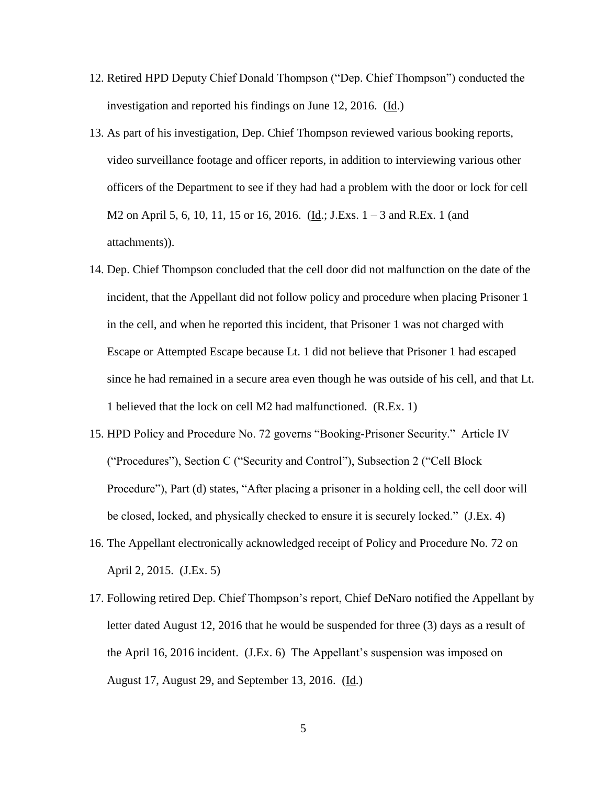- 12. Retired HPD Deputy Chief Donald Thompson ("Dep. Chief Thompson") conducted the investigation and reported his findings on June 12, 2016. (Id.)
- 13. As part of his investigation, Dep. Chief Thompson reviewed various booking reports, video surveillance footage and officer reports, in addition to interviewing various other officers of the Department to see if they had had a problem with the door or lock for cell M2 on April 5, 6, 10, 11, 15 or 16, 2016. (Id.; J.Exs. 1 – 3 and R.Ex. 1 (and attachments)).
- 14. Dep. Chief Thompson concluded that the cell door did not malfunction on the date of the incident, that the Appellant did not follow policy and procedure when placing Prisoner 1 in the cell, and when he reported this incident, that Prisoner 1 was not charged with Escape or Attempted Escape because Lt. 1 did not believe that Prisoner 1 had escaped since he had remained in a secure area even though he was outside of his cell, and that Lt. 1 believed that the lock on cell M2 had malfunctioned. (R.Ex. 1)
- 15. HPD Policy and Procedure No. 72 governs "Booking-Prisoner Security." Article IV ("Procedures"), Section C ("Security and Control"), Subsection 2 ("Cell Block Procedure"), Part (d) states, "After placing a prisoner in a holding cell, the cell door will be closed, locked, and physically checked to ensure it is securely locked." (J.Ex. 4)
- 16. The Appellant electronically acknowledged receipt of Policy and Procedure No. 72 on April 2, 2015. (J.Ex. 5)
- 17. Following retired Dep. Chief Thompson's report, Chief DeNaro notified the Appellant by letter dated August 12, 2016 that he would be suspended for three (3) days as a result of the April 16, 2016 incident. (J.Ex. 6) The Appellant's suspension was imposed on August 17, August 29, and September 13, 2016. (Id.)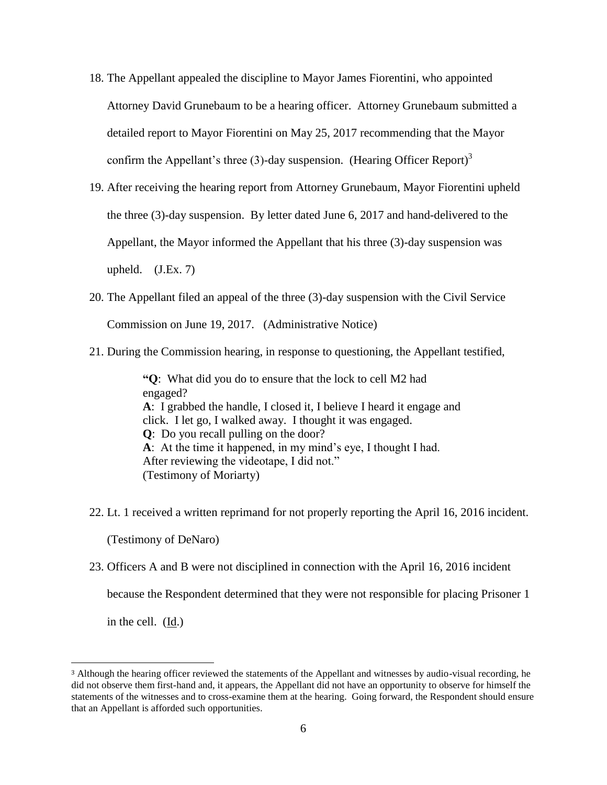- 18. The Appellant appealed the discipline to Mayor James Fiorentini, who appointed Attorney David Grunebaum to be a hearing officer. Attorney Grunebaum submitted a detailed report to Mayor Fiorentini on May 25, 2017 recommending that the Mayor confirm the Appellant's three (3)-day suspension. (Hearing Officer Report)<sup>3</sup>
- 19. After receiving the hearing report from Attorney Grunebaum, Mayor Fiorentini upheld the three (3)-day suspension. By letter dated June 6, 2017 and hand-delivered to the Appellant, the Mayor informed the Appellant that his three (3)-day suspension was upheld.  $(J.Ex. 7)$
- 20. The Appellant filed an appeal of the three (3)-day suspension with the Civil Service Commission on June 19, 2017. (Administrative Notice)
- 21. During the Commission hearing, in response to questioning, the Appellant testified,

**"Q**: What did you do to ensure that the lock to cell M2 had engaged? **A**: I grabbed the handle, I closed it, I believe I heard it engage and click. I let go, I walked away. I thought it was engaged. **Q**: Do you recall pulling on the door? **A**: At the time it happened, in my mind's eye, I thought I had. After reviewing the videotape, I did not." (Testimony of Moriarty)

22. Lt. 1 received a written reprimand for not properly reporting the April 16, 2016 incident.

(Testimony of DeNaro)

23. Officers A and B were not disciplined in connection with the April 16, 2016 incident

because the Respondent determined that they were not responsible for placing Prisoner 1

in the cell. (Id.)

 $\overline{a}$ 

<sup>3</sup> Although the hearing officer reviewed the statements of the Appellant and witnesses by audio-visual recording, he did not observe them first-hand and, it appears, the Appellant did not have an opportunity to observe for himself the statements of the witnesses and to cross-examine them at the hearing. Going forward, the Respondent should ensure that an Appellant is afforded such opportunities.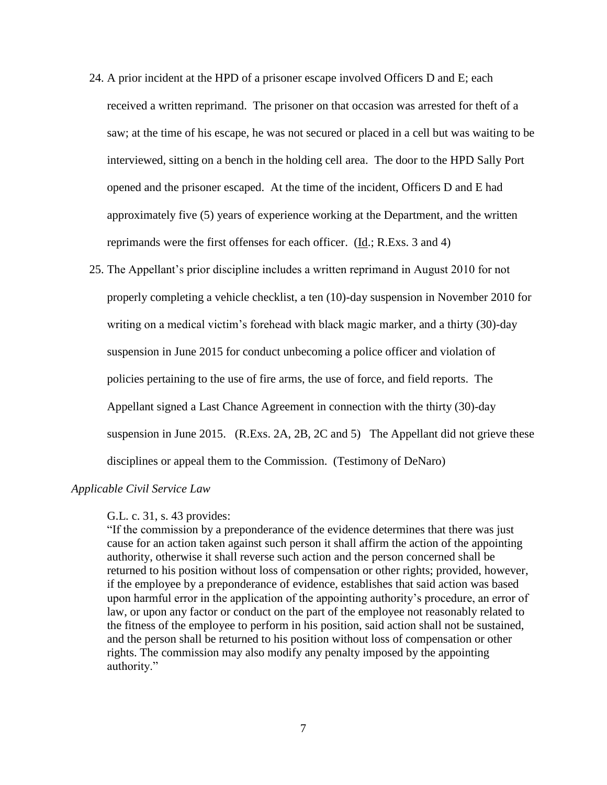- 24. A prior incident at the HPD of a prisoner escape involved Officers D and E; each received a written reprimand. The prisoner on that occasion was arrested for theft of a saw; at the time of his escape, he was not secured or placed in a cell but was waiting to be interviewed, sitting on a bench in the holding cell area. The door to the HPD Sally Port opened and the prisoner escaped. At the time of the incident, Officers D and E had approximately five (5) years of experience working at the Department, and the written reprimands were the first offenses for each officer. (Id.; R.Exs. 3 and 4)
- 25. The Appellant's prior discipline includes a written reprimand in August 2010 for not properly completing a vehicle checklist, a ten (10)-day suspension in November 2010 for writing on a medical victim's forehead with black magic marker, and a thirty (30)-day suspension in June 2015 for conduct unbecoming a police officer and violation of policies pertaining to the use of fire arms, the use of force, and field reports. The Appellant signed a Last Chance Agreement in connection with the thirty (30)-day suspension in June 2015. (R.Exs. 2A, 2B, 2C and 5) The Appellant did not grieve these disciplines or appeal them to the Commission. (Testimony of DeNaro)

# *Applicable Civil Service Law*

#### G.L. c. 31, s. 43 provides:

"If the commission by a preponderance of the evidence determines that there was just cause for an action taken against such person it shall affirm the action of the appointing authority, otherwise it shall reverse such action and the person concerned shall be returned to his position without loss of compensation or other rights; provided, however, if the employee by a preponderance of evidence, establishes that said action was based upon harmful error in the application of the appointing authority's procedure, an error of law, or upon any factor or conduct on the part of the employee not reasonably related to the fitness of the employee to perform in his position, said action shall not be sustained, and the person shall be returned to his position without loss of compensation or other rights. The commission may also modify any penalty imposed by the appointing authority."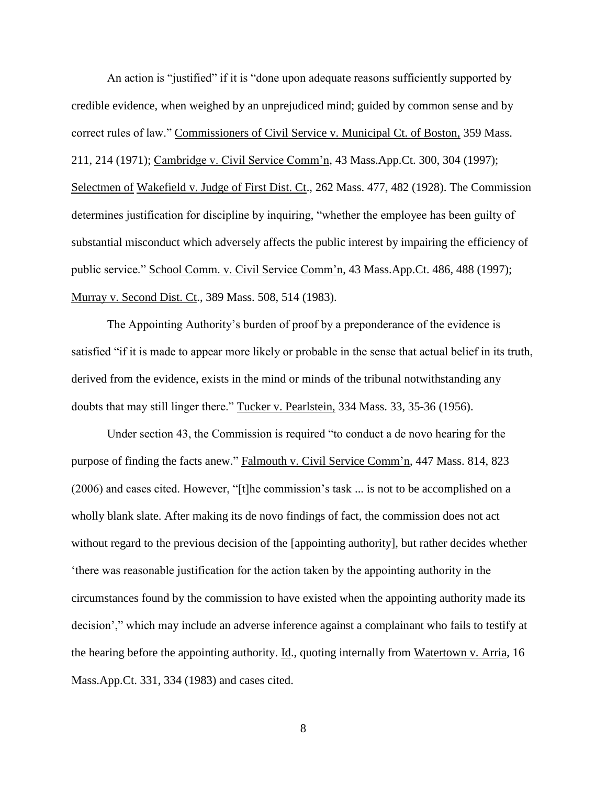An action is "justified" if it is "done upon adequate reasons sufficiently supported by credible evidence, when weighed by an unprejudiced mind; guided by common sense and by correct rules of law." Commissioners of Civil Service v. Municipal Ct. of Boston, 359 Mass. 211, 214 (1971); Cambridge v. Civil Service Comm'n, 43 Mass.App.Ct. 300, 304 (1997); Selectmen of Wakefield v. Judge of First Dist. Ct., 262 Mass. 477, 482 (1928). The Commission determines justification for discipline by inquiring, "whether the employee has been guilty of substantial misconduct which adversely affects the public interest by impairing the efficiency of public service." School Comm. v. Civil Service Comm'n, 43 Mass.App.Ct. 486, 488 (1997); Murray v. Second Dist. Ct., 389 Mass. 508, 514 (1983).

The Appointing Authority's burden of proof by a preponderance of the evidence is satisfied "if it is made to appear more likely or probable in the sense that actual belief in its truth, derived from the evidence, exists in the mind or minds of the tribunal notwithstanding any doubts that may still linger there." Tucker v. Pearlstein, 334 Mass. 33, 35-36 (1956).

Under section 43, the Commission is required "to conduct a de novo hearing for the purpose of finding the facts anew." Falmouth v. Civil Service Comm'n, 447 Mass. 814, 823 (2006) and cases cited. However, "[t]he commission's task ... is not to be accomplished on a wholly blank slate. After making its de novo findings of fact, the commission does not act without regard to the previous decision of the [appointing authority], but rather decides whether 'there was reasonable justification for the action taken by the appointing authority in the circumstances found by the commission to have existed when the appointing authority made its decision'," which may include an adverse inference against a complainant who fails to testify at the hearing before the appointing authority. Id., quoting internally from Watertown v. Arria, 16 Mass.App.Ct. 331, 334 (1983) and cases cited.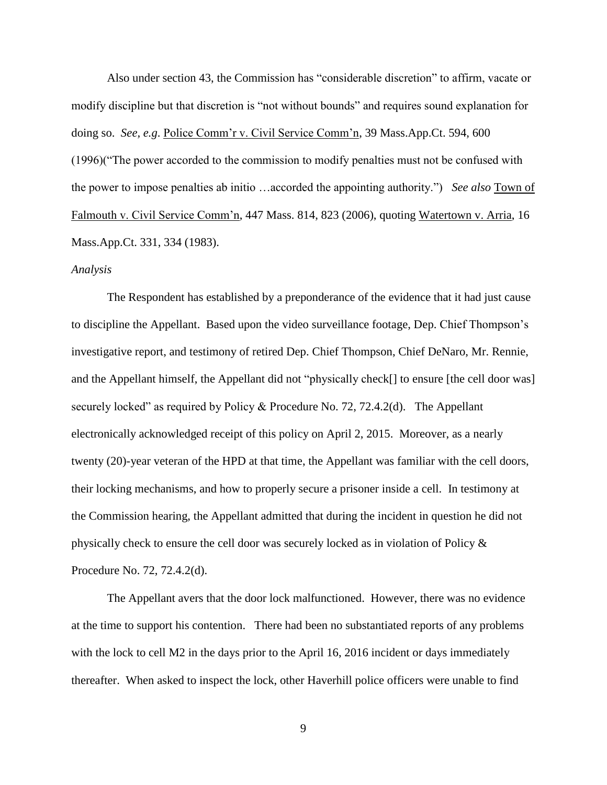Also under section 43, the Commission has "considerable discretion" to affirm, vacate or modify discipline but that discretion is "not without bounds" and requires sound explanation for doing so. *See, e.g*. Police Comm'r v. Civil Service Comm'n, 39 Mass.App.Ct. 594, 600 (1996)("The power accorded to the commission to modify penalties must not be confused with the power to impose penalties ab initio …accorded the appointing authority.") *See also* Town of Falmouth v. Civil Service Comm'n, 447 Mass. 814, 823 (2006), quoting Watertown v. Arria, 16 Mass.App.Ct. 331, 334 (1983).

### *Analysis*

The Respondent has established by a preponderance of the evidence that it had just cause to discipline the Appellant. Based upon the video surveillance footage, Dep. Chief Thompson's investigative report, and testimony of retired Dep. Chief Thompson, Chief DeNaro, Mr. Rennie, and the Appellant himself, the Appellant did not "physically check[] to ensure [the cell door was] securely locked" as required by Policy & Procedure No. 72, 72.4.2(d). The Appellant electronically acknowledged receipt of this policy on April 2, 2015. Moreover, as a nearly twenty (20)-year veteran of the HPD at that time, the Appellant was familiar with the cell doors, their locking mechanisms, and how to properly secure a prisoner inside a cell. In testimony at the Commission hearing, the Appellant admitted that during the incident in question he did not physically check to ensure the cell door was securely locked as in violation of Policy & Procedure No. 72, 72.4.2(d).

The Appellant avers that the door lock malfunctioned. However, there was no evidence at the time to support his contention. There had been no substantiated reports of any problems with the lock to cell M2 in the days prior to the April 16, 2016 incident or days immediately thereafter. When asked to inspect the lock, other Haverhill police officers were unable to find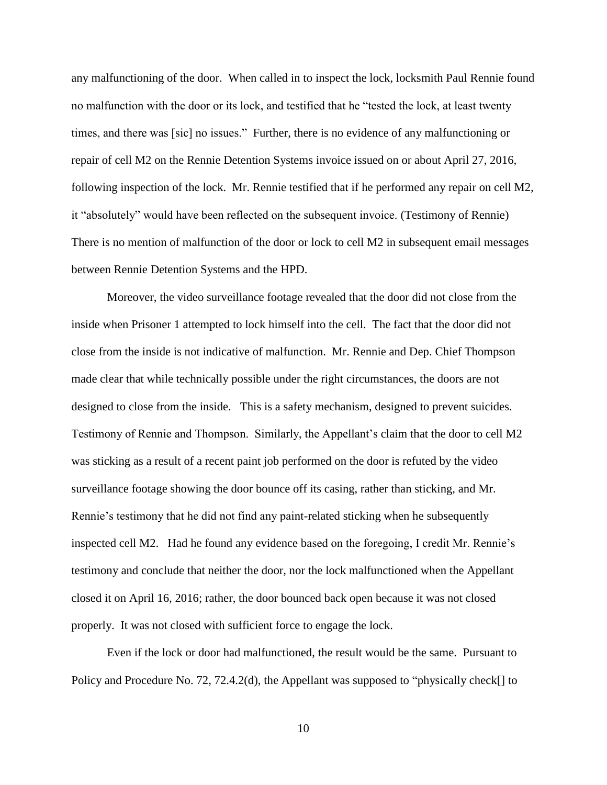any malfunctioning of the door. When called in to inspect the lock, locksmith Paul Rennie found no malfunction with the door or its lock, and testified that he "tested the lock, at least twenty times, and there was [sic] no issues." Further, there is no evidence of any malfunctioning or repair of cell M2 on the Rennie Detention Systems invoice issued on or about April 27, 2016, following inspection of the lock. Mr. Rennie testified that if he performed any repair on cell M2, it "absolutely" would have been reflected on the subsequent invoice. (Testimony of Rennie) There is no mention of malfunction of the door or lock to cell M2 in subsequent email messages between Rennie Detention Systems and the HPD.

Moreover, the video surveillance footage revealed that the door did not close from the inside when Prisoner 1 attempted to lock himself into the cell. The fact that the door did not close from the inside is not indicative of malfunction. Mr. Rennie and Dep. Chief Thompson made clear that while technically possible under the right circumstances, the doors are not designed to close from the inside. This is a safety mechanism, designed to prevent suicides. Testimony of Rennie and Thompson. Similarly, the Appellant's claim that the door to cell M2 was sticking as a result of a recent paint job performed on the door is refuted by the video surveillance footage showing the door bounce off its casing, rather than sticking, and Mr. Rennie's testimony that he did not find any paint-related sticking when he subsequently inspected cell M2. Had he found any evidence based on the foregoing, I credit Mr. Rennie's testimony and conclude that neither the door, nor the lock malfunctioned when the Appellant closed it on April 16, 2016; rather, the door bounced back open because it was not closed properly. It was not closed with sufficient force to engage the lock.

Even if the lock or door had malfunctioned, the result would be the same. Pursuant to Policy and Procedure No. 72, 72.4.2(d), the Appellant was supposed to "physically check[] to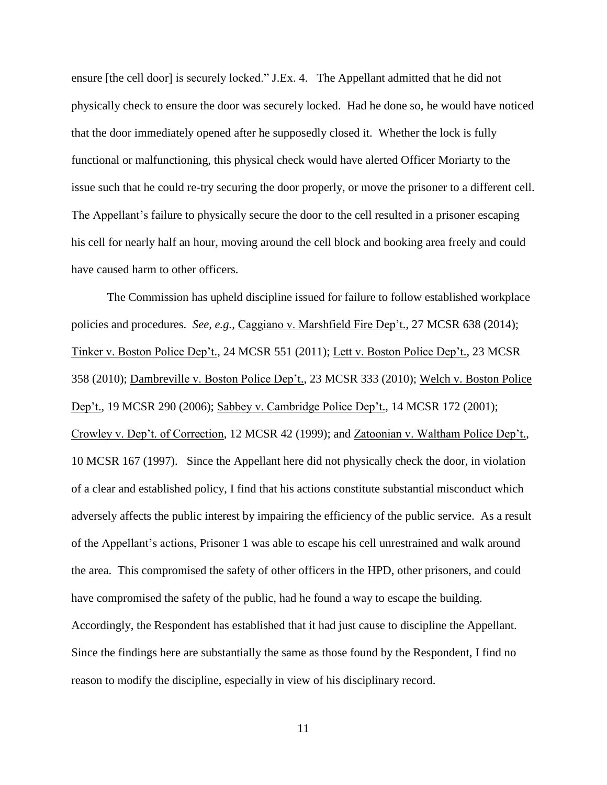ensure [the cell door] is securely locked." J.Ex. 4. The Appellant admitted that he did not physically check to ensure the door was securely locked. Had he done so, he would have noticed that the door immediately opened after he supposedly closed it. Whether the lock is fully functional or malfunctioning, this physical check would have alerted Officer Moriarty to the issue such that he could re-try securing the door properly, or move the prisoner to a different cell. The Appellant's failure to physically secure the door to the cell resulted in a prisoner escaping his cell for nearly half an hour, moving around the cell block and booking area freely and could have caused harm to other officers.

The Commission has upheld discipline issued for failure to follow established workplace policies and procedures. *See, e.g.,* Caggiano v. Marshfield Fire Dep't., 27 MCSR 638 (2014); Tinker v. Boston Police Dep't., 24 MCSR 551 (2011); Lett v. Boston Police Dep't., 23 MCSR 358 (2010); Dambreville v. Boston Police Dep't., 23 MCSR 333 (2010); Welch v. Boston Police Dep't., 19 MCSR 290 (2006); Sabbey v. Cambridge Police Dep't., 14 MCSR 172 (2001); Crowley v. Dep't. of Correction, 12 MCSR 42 (1999); and Zatoonian v. Waltham Police Dep't., 10 MCSR 167 (1997). Since the Appellant here did not physically check the door, in violation of a clear and established policy, I find that his actions constitute substantial misconduct which adversely affects the public interest by impairing the efficiency of the public service. As a result of the Appellant's actions, Prisoner 1 was able to escape his cell unrestrained and walk around the area. This compromised the safety of other officers in the HPD, other prisoners, and could have compromised the safety of the public, had he found a way to escape the building. Accordingly, the Respondent has established that it had just cause to discipline the Appellant. Since the findings here are substantially the same as those found by the Respondent, I find no reason to modify the discipline, especially in view of his disciplinary record.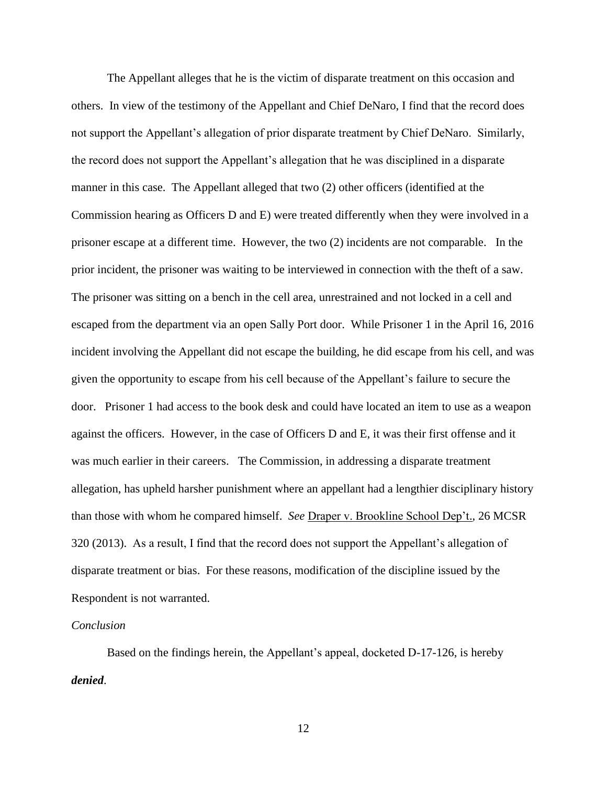The Appellant alleges that he is the victim of disparate treatment on this occasion and others. In view of the testimony of the Appellant and Chief DeNaro, I find that the record does not support the Appellant's allegation of prior disparate treatment by Chief DeNaro. Similarly, the record does not support the Appellant's allegation that he was disciplined in a disparate manner in this case. The Appellant alleged that two (2) other officers (identified at the Commission hearing as Officers D and E) were treated differently when they were involved in a prisoner escape at a different time. However, the two (2) incidents are not comparable. In the prior incident, the prisoner was waiting to be interviewed in connection with the theft of a saw. The prisoner was sitting on a bench in the cell area, unrestrained and not locked in a cell and escaped from the department via an open Sally Port door. While Prisoner 1 in the April 16, 2016 incident involving the Appellant did not escape the building, he did escape from his cell, and was given the opportunity to escape from his cell because of the Appellant's failure to secure the door. Prisoner 1 had access to the book desk and could have located an item to use as a weapon against the officers. However, in the case of Officers D and E, it was their first offense and it was much earlier in their careers. The Commission, in addressing a disparate treatment allegation, has upheld harsher punishment where an appellant had a lengthier disciplinary history than those with whom he compared himself. *See* Draper v. Brookline School Dep't., 26 MCSR 320 (2013). As a result, I find that the record does not support the Appellant's allegation of disparate treatment or bias. For these reasons, modification of the discipline issued by the Respondent is not warranted.

### *Conclusion*

 Based on the findings herein, the Appellant's appeal, docketed D-17-126, is hereby *denied*.